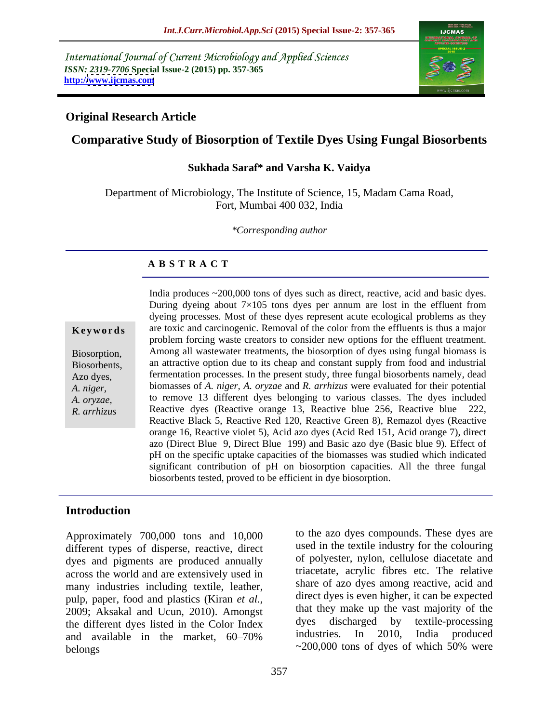International Journal of Current Microbiology and Applied Sciences *ISSN: 2319-7706* **Special Issue-2 (2015) pp. 357-365 http:/[/www.ijcmas.com](http://www.ijcmas.com)**



### **Original Research Article**

# **Comparative Study of Biosorption of Textile Dyes Using Fungal Biosorbents**

### **Sukhada Saraf\* and Varsha K. Vaidya**

Department of Microbiology, The Institute of Science, 15, Madam Cama Road, Fort, Mumbai 400 032, India

*\*Corresponding author*

### **A B S T R A C T**

*R. arrhizus*

India produces ~200,000 tons of dyes such as direct, reactive, acid and basic dyes. During dyeing about  $7\times105$  tons dyes per annum are lost in the effluent from dyeing processes. Most of these dyes represent acute ecological problems as they are toxic and carcinogenic. Removal of the color from the effluents is thus a major **Ke ywo rds** problem forcing waste creators to consider new options for the effluent treatment. Among all wastewater treatments, the biosorption of dyes using fungal biomass is Biosorption, Biosorbents, an attractive option due to its cheap and constant supply from food and industrial fermentation processes. In the present study, three fungal biosorbents namely, dead Azo dyes, biomasses of *A. niger, A. oryzae* and *R. arrhizus* were evaluated for their potential *A. niger,* to remove 13 different dyes belonging to various classes. The dyes included *A. oryzae,* Reactive dyes (Reactive orange 13, Reactive blue 256, Reactive blue 222, Reactive Black 5, Reactive Red 120, Reactive Green 8), Remazol dyes (Reactive orange 16, Reactive violet 5), Acid azo dyes (Acid Red 151, Acid orange 7), direct azo (Direct Blue 9, Direct Blue 199) and Basic azo dye (Basic blue 9). Effect of pH on the specific uptake capacities of the biomasses was studied which indicated significant contribution of pH on biosorption capacities. All the three fungal biosorbents tested, proved to be efficient in dye biosorption.

## **Introduction**

Approximately 700,000 tons and 10,000 different types of disperse, reactive, direct dyes and pigments are produced annually across the world and are extensively used in many industries including textile, leather, pulp, paper, food and plastics (Kiran *et al.,* 2009; Aksakal and Ucun, 2010). Amongst that they make up the vast majority of the the different dyes listed in the Color Index dyes discharged by textile-processing the different dyes listed in the Color Index<br>and available in the market 60.70% industries. In 2010, India produced and available in the market, 60–70% belongs  $\sim$ 200,000 tons of dyes of which 50% were

to the azo dyes compounds. These dyes are used in the textile industry for the colouring of polyester, nylon, cellulose diacetate and triacetate, acrylic fibres etc. The relative share of azo dyes among reactive, acid and direct dyes is even higher, it can be expected that they make up the vast majority of the dyes discharged by textile-processing industries. In 2010, India produced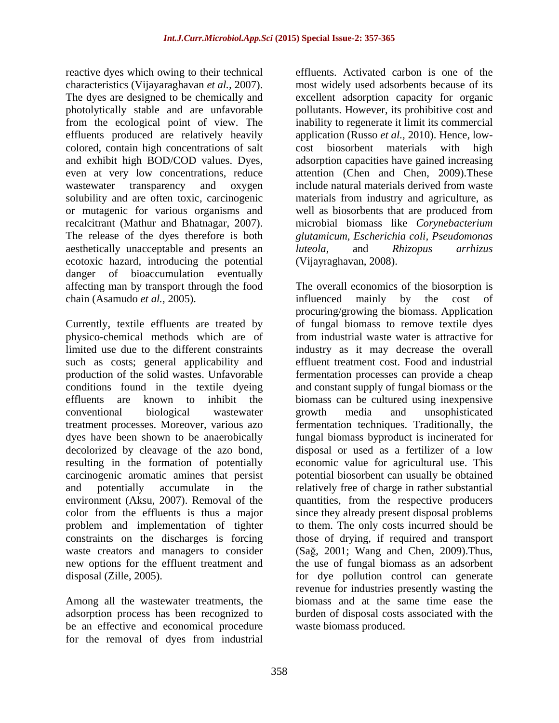reactive dyes which owing to their technical characteristics (Vijayaraghavan *et al.,* 2007). The dyes are designed to be chemically and excellent adsorption capacity for organic photolytically stable and are unfavorable pollutants. However, its prohibitive cost and from the ecological point of view. The inability to regenerate it limit its commercial effluents produced are relatively heavily colored, contain high concentrations of salt cost biosorbent materials with high and exhibit high BOD/COD values. Dyes, adsorption capacities have gained increasing even at very low concentrations, reduce wastewater transparency and oxygen include natural materials derived from waste solubility and are often toxic, carcinogenic materials from industry and agriculture, as or mutagenic for various organisms and recalcitrant (Mathur and Bhatnagar, 2007). microbial biomass like *Corynebacterium*  The release of the dyes therefore is both *glutamicum, Escherichia coli, Pseudomonas* aesthetically unacceptable and presents an *luteola*, and *Rhizopus arrhizus* ecotoxic hazard, introducing the potential danger of bioaccumulation eventually chain (Asamudo *et al.*, 2005). The influenced mainly by the cost of

Currently, textile effluents are treated by of fungal biomass to remove textile dyes physico-chemical methods which are of from industrial waste water is attractive for limited use due to the different constraints industry as it may decrease the overall such as costs; general applicability and effluent treatment cost. Food and industrial production of the solid wastes. Unfavorable conditions found in the textile dyeing and constant supply of fungal biomass or the effluents are known to inhibit the biomass can be cultured using inexpensive conventional biological wastewater treatment processes. Moreover, various azo fermentation techniques. Traditionally, the dyes have been shown to be anaerobically fungal biomass byproduct is incinerated for decolorized by cleavage of the azo bond, disposal or used as a fertilizer of a low resulting in the formation of potentially economic value for agricultural use. This carcinogenic aromatic amines that persist potential biosorbent can usually be obtained and potentially accumulate in the relatively free of charge in rather substantial environment (Aksu, 2007). Removal of the quantities, from the respective producers color from the effluents is thus a major since they already present disposal problems problem and implementation of tighter constraints on the discharges is forcing those of drying, if required and transport waste creators and managers to consider (Sağ, 2001; Wang and Chen, 2009). Thus, new options for the effluent treatment and the use of fungal biomass as an adsorbent

Among all the wastewater treatments, the be an effective and economical procedure for the removal of dyes from industrial

effluents. Activated carbon is one of the most widely used adsorbents because of its application (Russo *et al.,* 2010). Hence, low cost biosorbent materials attention (Chen and Chen, 2009).These well as biosorbents that are produced from *luteola,* and *Rhizopus arrhizus*  (Vijayraghavan, 2008).

affecting man by transport through the food The overall economics of the biosorption is disposal (Zille, 2005). for dye pollution control can generate adsorption process has been recognized to burden of disposal costs associated with the influenced mainly by the cost of procuring/growing the biomass. Application fermentation processes can provide a cheap growth media and unsophisticated to them. The only costs incurred should be revenue for industries presently wasting the biomass and at the same time ease the waste biomass produced.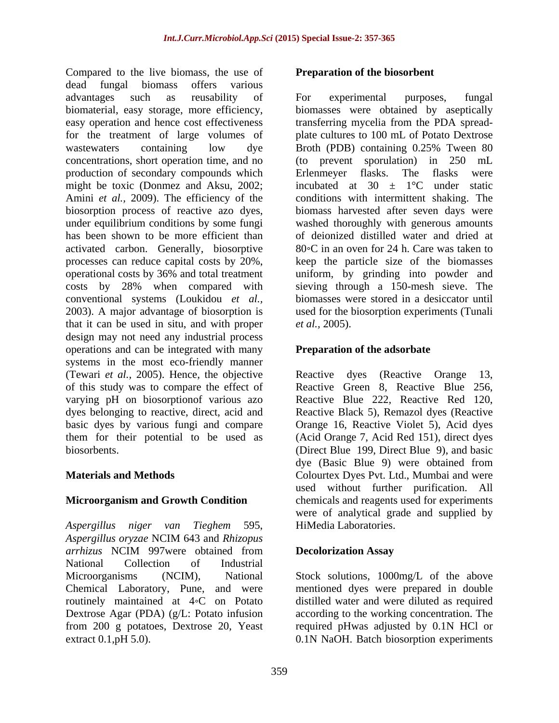Compared to the live biomass, the use of dead fungal biomass offers various advantages such as reusability of biomaterial, easy storage, more efficiency, biomasses were obtained by aseptically easy operation and hence cost effectiveness transferring mycelia from the PDA spread for the treatment of large volumes of wastewaters containing low dye Broth (PDB) containing 0.25% Tween 80 concentrations, short operation time, and no (to prevent sporulation) in 250 mL production of secondary compounds which Erlenmeyer flasks. The flasks were might be toxic (Donmez and Aksu, 2002; Amini *et al.*, 2009). The efficiency of the conditions with intermittent shaking. The biosorption process of reactive azo dyes, biomass harvested after seven days were under equilibrium conditions by some fungi washed thoroughly with generous amounts has been shown to be more efficient than of deionized distilled water and dried at activated carbon. Generally, biosorptive processes can reduce capital costs by 20%, keep the particle size of the biomasses operational costs by 36% and total treatment uniform, by grinding into powder and costs by 28% when compared with sieving through a 150-mesh sieve. The conventional systems (Loukidou *et al.,* biomasses were stored in a desiccator until 2003). A major advantage of biosorption is used for the biosorption experiments (Tunali that it can be used in situ, and with proper *et al.*, 2005). design may not need any industrial process operations and can be integrated with many systems in the most eco-friendly manner (Tewari *et al.,* 2005). Hence, the objective of this study was to compare the effect of varying pH on biosorptionof various azo Reactive Blue 222, Reactive Red 120, dyes belonging to reactive, direct, acid and Reactive Black 5), Remazol dyes (Reactive basic dyes by various fungi and compare Orange 16, Reactive Violet 5), Acid dyes them for their potential to be used as (Acid Orange 7, Acid Red 151), direct dyes

*Aspergillus niger van Tieghem* 595, *Aspergillus oryzae* NCIM 643 and *Rhizopus arrhizus* NCIM 997were obtained from National Collection of Industrial Microorganisms (NCIM), National Stock solutions, 1000mg/L of the above Chemical Laboratory, Pune, and were mentioned dyes were prepared in double routinely maintained at 4 <sup>o</sup>C on Potato distilled water and were diluted as required Dextrose Agar (PDA) (g/L: Potato infusion from 200 g potatoes, Dextrose 20, Yeast extract 0.1,pH 5.0). 0.1N NaOH. Batch biosorption experiments

### **Preparation of the biosorbent**

For experimental purposes, fungal plate cultures to 100 mL of Potato Dextrose Broth (PDB) containing 0.25% Tween 80 Erlenmeyer flasks. The flasks were incubated at 30  $\pm$  1°C under static  $80^{\circ}$ C in an oven for 24 h. Care was taken to *et al.,* 2005).

## **Preparation of the adsorbate**

biosorbents. (Direct Blue 199, Direct Blue 9), and basic **Materials and Methods**  Colourtex Dyes Pvt. Ltd., Mumbai and were **Microorganism and Growth Condition** chemicals and reagents used for experiments Reactive dyes (Reactive Orange 13, Reactive Green 8, Reactive Blue 256, dye (Basic Blue 9) were obtained from used without further purification. All were of analytical grade and supplied by HiMedia Laboratories.

### **Decolorization Assay**

according to the working concentration. The required pHwas adjusted by 0.1N HCl or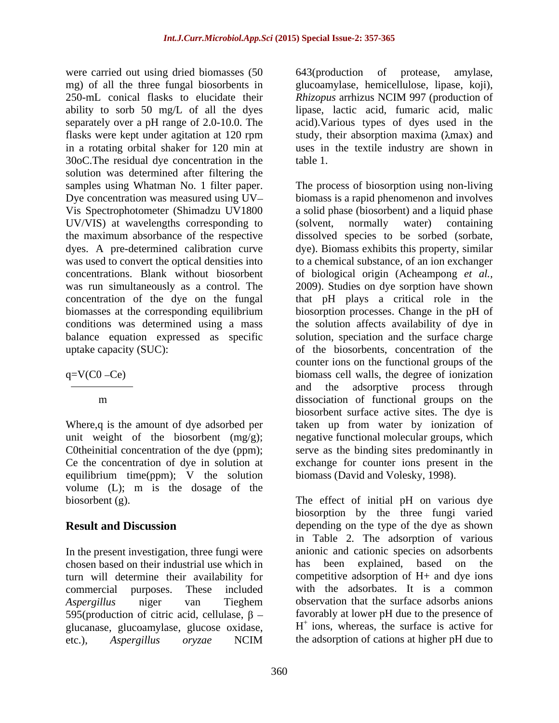were carried out using dried biomasses (50 643 (production of protease, amylase, mg) of all the three fungal biosorbents in glucoamylase, hemicellulose, lipase, koji),250-mL conical flasks to elucidate their Rhizopus arrhizus NCIM 997 (production of ability to sorb 50 mg/L of all the dyes lipase, lactic acid, fumaric acid, malic separately over a pH range of 2.0-10.0. The flasks were kept under agitation at 120 rpm study, their absorption maxima (λmax) and in a rotating orbital shaker for 120 min at uses in the textile industry are shown in 30oC.The residual dye concentration in the solution was determined after filtering the UV/VIS) at wavelengths corresponding to (solvent, normally water) containing

Where,q is the amount of dye adsorbed per Ce the concentration of dye in solution at equilibrium time(ppm); V the solution volume (L); m is the dosage of the

In the present investigation, three fungi were chosen based on their industrial use which in turn will determine their availability for 595(production of citric acid, cellulase,  $\beta$  – glucanase, glucoamylase, glucose oxidase, etc.), *Aspergillus oryzae* NCIM the adsorption of cations at higher pH due to

643(production of protease, amylase, *Rhizopus* arrhizus NCIM 997 (production of acid).Various types of dyes used in the table 1.

samples using Whatman No. 1 filter paper. The process of biosorption using non-living Dye concentration was measured using UV biomass is a rapid phenomenon and involves Vis Spectrophotometer (Shimadzu UV1800 a solid phase (biosorbent) and a liquid phase the maximum absorbance of the respective dissolved species to be sorbed (sorbate, dyes. A pre-determined calibration curve dye). Biomass exhibits this property, similar was used to convert the optical densities into to a chemical substance, of an ion exchanger concentrations. Blank without biosorbent of biological origin (Acheampong *et al.,* was run simultaneously as a control. The 2009). Studies on dye sorption have shown concentration of the dye on the fungal that pH plays a critical role in the biomasses at the corresponding equilibrium biosorption processes. Change in the pH of conditions was determined using a mass the solution affects availability of dye in balance equation expressed as specific solution, speciation and the surface charge uptake capacity (SUC): of the biosorbents, concentration of the  $q=V(C0 - Ce)$  biomass cell walls, the degree of ionization m dissociation of functional groups on the unit weight of the biosorbent (mg/g); and negative functional molecular groups, which C0theinitial concentration of the dye (ppm); serve as the binding sites predominantly in (solvent, normally water) containing counter ions on the functional groups of the and the adsorptive process through biosorbent surface active sites. The dye is taken up from water by ionization of exchange for counter ions present in the biomass (David and Volesky, 1998).

biosorbent (g). The effect of initial pH on various dye **Result and Discussion depending on the type of the dye as shown** commercial purposes. These included with the adsorbates. It is a common *Aspergillus* niger van Tieghem biosorption by the three fungi varied in Table 2. The adsorption of various anionic and cationic species on adsorbents has been explained, based on the competitive adsorption of H+ and dye ions observation that the surface adsorbs anions favorably at lower pH due to the presence of H + ions, whereas, the surface is active for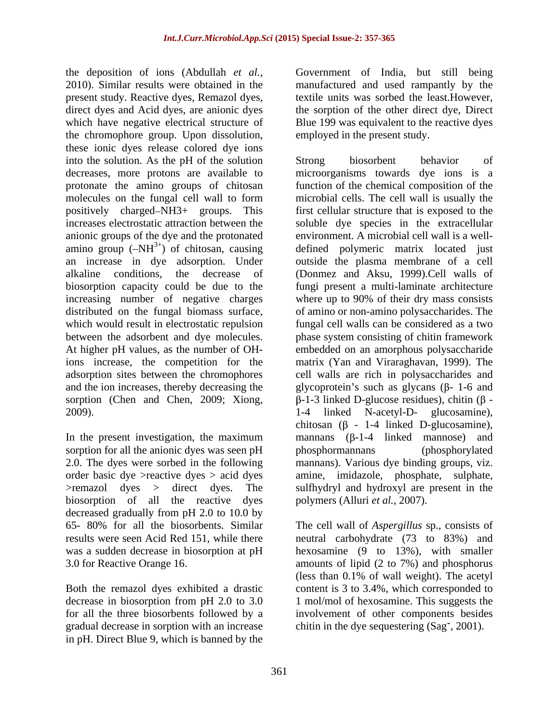the deposition of ions (Abdullah *et al.,* Government of India, but still being 2010). Similar results were obtained in the manufactured and used rampantly by the present study. Reactive dyes, Remazol dyes, direct dyes and Acid dyes, are anionic dyes the sorption of the other direct dye, Direct which have negative electrical structure of Blue 199 was equivalent to the reactive dyes the chromophore group. Upon dissolution, these ionic dyes release colored dye ions into the solution. As the pH of the solution Strong biosorbent behavior of anionic groups of the dye and the protonated amino group  $(-NH^{3+})$  of chitosan, causing increasing number of negative charges

sorption for all the anionic dyes was seen pH phosphormannans (phosphorylated biosorption of all the reactive dyes decreased gradually from pH 2.0 to 10.0 by

gradual decrease in sorption with an increase in pH. Direct Blue 9, which is banned by the textile units was sorbed the least.However, employed in the present study.

decreases, more protons are available to microorganisms towards dye ions is a protonate the amino groups of chitosan function of the chemical composition of the molecules on the fungal cell wall to form microbial cells. The cell wall is usually the positively charged NH3+ groups. This first cellular structure that is exposed to the increases electrostatic attraction between the soluble dye species in the extracellular an increase in dye adsorption. Under outside the plasma membrane of a cell alkaline conditions, the decrease of (Donmez and Aksu, 1999).Cell walls of biosorption capacity could be due to the fungi present a multi-laminate architecture distributed on the fungal biomass surface, of amino or non-amino polysaccharides. The which would result in electrostatic repulsion fungal cell walls can be considered as a two between the adsorbent and dye molecules. phase system consisting of chitin framework At higher pH values, as the number of OH-embedded on an amorphous polysaccharide ions increase, the competition for the matrix (Yan and Viraraghavan, 1999). The adsorption sites between the chromophores cell walls are rich in polysaccharides and and the ion increases, thereby decreasing the  $\qquad$  glycoprotein's such as glycans ( $\beta$ - 1-6 and sorption (Chen and Chen, 2009; Xiong,  $\beta$ -1-3 linked D-glucose residues), chitin ( $\beta$ -2009). 1-4 linked N-acetyl-D- glucosamine), In the present investigation, the maximum mannans  $(\beta-1-4 \text{ linked mannose})$  and 2.0. The dyes were sorbed in the following mannans). Various dye binding groups, viz. order basic dye >reactive dyes > acid dyes amine, imidazole, phosphate, sulphate, >remazol dyes > direct dyes. The sulfhydryl and hydroxyl are present in the Strong biosorbent behavior of environment. A microbial cell wall is a well defined polymeric matrix located just where up to 90% of their dry mass consists chitosan  $(\beta - 1-4)$  linked D-glucosamine), phosphormannans (phosphorylated polymers (Alluri *et al.,* 2007).

65- 80% for all the biosorbents. Similar The cell wall of *Aspergillus* sp., consists of results were seen Acid Red 151, while there neutral carbohydrate (73 to 83%) and was a sudden decrease in biosorption at pH hexosamine (9 to 13%), with smaller 3.0 for Reactive Orange 16. amounts of lipid (2 to 7%) and phosphorus Both the remazol dyes exhibited a drastic content is 3 to 3.4%, which corresponded to decrease in biosorption from pH 2.0 to 3.0 1 mol/mol of hexosamine. This suggests the for all the three biosorbents followed by a involvement of other components besides (less than 0.1% of wall weight). The acetyl chitin in the dye sequestering  $(Sag^{\dagger}, 2001)$ .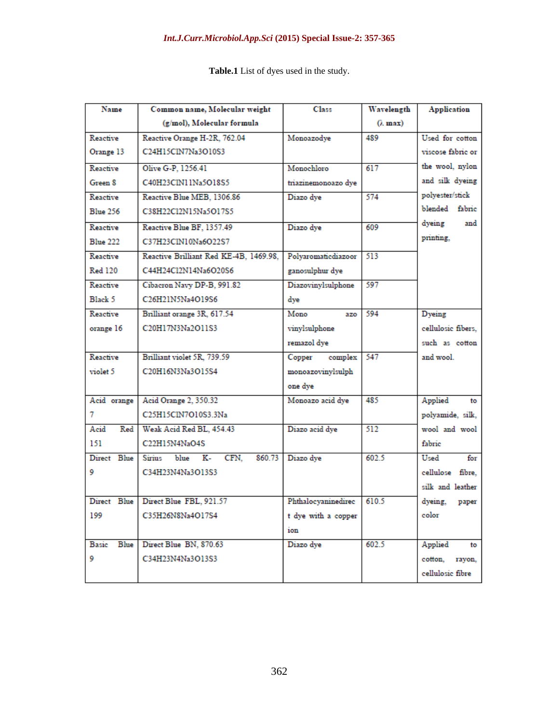| Name                 | Common name, Molecular weight           | Class               | Wavelength | <b>Application</b>   |  |  |  |  |
|----------------------|-----------------------------------------|---------------------|------------|----------------------|--|--|--|--|
|                      | (g/mol), Molecular formula              |                     | (i. max)   |                      |  |  |  |  |
| Reactive             | Reactive Orange H-2R, 762.04            | Monoazodye          | 489        | Used for cotton      |  |  |  |  |
| Orange 13            | C24H15ClN7Na3O10S3                      |                     |            | viscose fabric or    |  |  |  |  |
| Reactive             | Olive G-P, 1256.41                      | Monochloro          | 617        | the wool, nylon      |  |  |  |  |
| Green 8              | C40H23CIN11Na5O18S5                     | triazinemonoazo dye |            | and silk dyeing      |  |  |  |  |
| Reactive             | Reactive Blue MEB, 1306.86              | Diazo dye           | 574        | polyester/stick      |  |  |  |  |
| <b>Blue 256</b>      | C38H22Cl2N15Na5O17S5                    |                     |            | blended fabric       |  |  |  |  |
| Reactive             | Reactive Blue BF, 1357.49               | Diazo dye           | 609        | dyeing<br>and        |  |  |  |  |
| <b>Blue 222</b>      | C37H23CIN10Na6O22S7                     |                     |            | printing,            |  |  |  |  |
| Reactive             | Reactive Brilliant Red KE-4B, 1469.98,  | Polyaromaticdiazoor | 513        |                      |  |  |  |  |
| <b>Red 120</b>       | C44H24Cl2N14Na6O20S6                    | ganosulphur dye     |            |                      |  |  |  |  |
| Reactive             | Cibacron Navy DP-B, 991.82              | Diazovinylsulphone  | 597        |                      |  |  |  |  |
| Black 5              | C26H21N5Na4O19S6                        | dye                 |            |                      |  |  |  |  |
| Reactive             | Brilliant orange 3R, 617.54             | Mono<br>azo         | 594        | Dyeing               |  |  |  |  |
| orange 16            | C20H17N3Na2O11S3                        | vinylsulphone       |            | cellulosic fibers,   |  |  |  |  |
|                      |                                         | remazol dye         |            | such as cotton       |  |  |  |  |
| Reactive             | Brilliant violet 5R, 739.59             | Copper<br>complex   | 547        | and wool.            |  |  |  |  |
| violet 5             | C20H16N3Na3O15S4                        | monoazovinylsulph   |            |                      |  |  |  |  |
|                      |                                         | one dye             |            |                      |  |  |  |  |
| Acid orange          | Acid Orange 2, 350.32                   | Monoazo acid dye    | 485        | Applied<br>to        |  |  |  |  |
| 7                    | C25H15ClN7O10S3.3Na                     |                     |            | polyamide, silk,     |  |  |  |  |
| Acid<br>Red          | Weak Acid Red BL, 454.43                | Diazo acid dye      | 512        | wool and wool        |  |  |  |  |
| 151                  | C22H15N4NaO4S                           |                     |            | fabric               |  |  |  |  |
| Direct Blue          | blue K- CFN,<br>860.73<br><b>Sirius</b> | Diazo dye           | 602.5      | Used<br>$_{\rm for}$ |  |  |  |  |
| 9                    | C34H23N4Na3O13S3                        |                     |            | cellulose fibre.     |  |  |  |  |
|                      |                                         |                     |            | silk and leather     |  |  |  |  |
|                      | Direct Blue Direct Blue FBL, 921.57     | Phthalocyaninedirec | 610.5      | dyeing,<br>paper     |  |  |  |  |
| 199                  | C35H26N8Na4O17S4                        | t dye with a copper |            | color                |  |  |  |  |
|                      |                                         | ion                 |            |                      |  |  |  |  |
| <b>Blue</b><br>Basic | Direct Blue BN, 870.63                  | Diazo dye           | 602.5      | Applied<br>to        |  |  |  |  |
| 9                    | C34H23N4Na3O13S3                        |                     |            | cotton,<br>rayon,    |  |  |  |  |
|                      |                                         |                     |            | cellulosic fibre     |  |  |  |  |

**Table.1** List of dyes used in the study.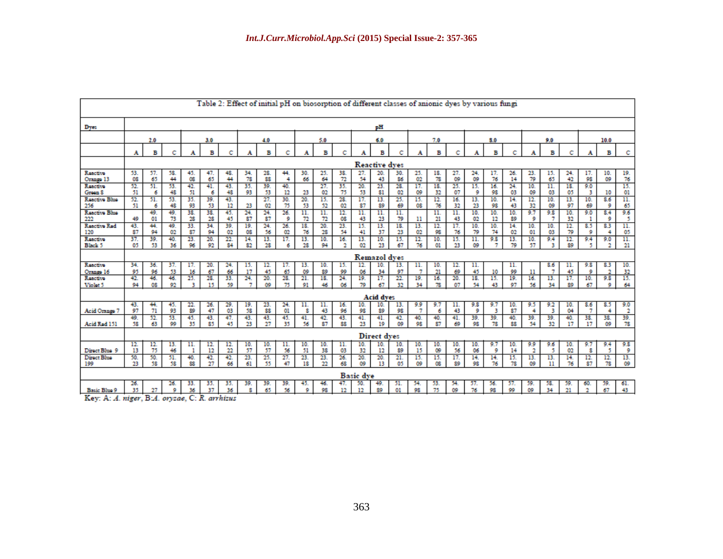| Table 2: Effect of initial pH on biosorption of different classes of anionic dyes by various fungi |                      |                  |           |           |           |           |                  |           |           |           |           |            |                  |                    |                |            |           |                                |           |           |            |                |           |           |                           |                                |                |
|----------------------------------------------------------------------------------------------------|----------------------|------------------|-----------|-----------|-----------|-----------|------------------|-----------|-----------|-----------|-----------|------------|------------------|--------------------|----------------|------------|-----------|--------------------------------|-----------|-----------|------------|----------------|-----------|-----------|---------------------------|--------------------------------|----------------|
| Dyes                                                                                               | pH                   |                  |           |           |           |           |                  |           |           |           |           |            |                  |                    |                |            |           |                                |           |           |            |                |           |           |                           |                                |                |
|                                                                                                    | 2.0                  |                  |           | 3.0       |           | 4.0       |                  | 5.0       |           | 6.0       |           |            |                  | 7.0                |                | 8.0        |           |                                | 9.0       |           |            | 10.0           |           |           |                           |                                |                |
|                                                                                                    | A                    | в                | с         | A         | в         | c         |                  | в         | с         | A         | в         | с          | А                | в                  | с              | А          | в         | с                              | A         | в         | с          | A              | в         | c         | A                         | в                              | c              |
|                                                                                                    | <b>Reactive dyes</b> |                  |           |           |           |           |                  |           |           |           |           |            |                  |                    |                |            |           |                                |           |           |            |                |           |           |                           |                                |                |
| Reactive<br>Orango 13                                                                              | 53.<br><b>OS</b>     | 57.<br>65        | 58.<br>44 | 45.<br>œ  | 47.<br>65 | 48.<br>44 | 34.<br>78        | 28.<br>88 | 44<br>4   | 30.<br>66 | 25.<br>64 | 38.<br>72  | 27.<br>54        | 20.<br>43          | 30.<br>86      | 25.<br>02  | 18.<br>78 | 27.<br>09                      | 24.<br>09 | 17.<br>76 | 26.<br>14  | 23.<br>79      | 15.<br>65 | 24.<br>42 | 17.<br>98                 | 10.<br>09                      | 19.<br>76      |
| Reactive<br>Green 8                                                                                | 52.<br>51            | 51.<br>6         | 53.<br>48 | 42.<br>51 | 41.<br>6  | 43.<br>48 | 35.<br>93        | 39.<br>53 | 40.<br>12 | 23        | 27.<br>02 | 35.<br>75  | 20.<br>53        | 23.<br>81          | 28.<br>02      | 17.<br>09  | 18.<br>32 | 25.<br>07                      | 15.<br>9  | 16.<br>98 | 24.<br>03  | 10.<br>09      | 11.<br>03 | 18.<br>05 | 9.0<br>3                  | 10                             | 15.<br>01      |
| Reactive Blue<br>256                                                                               | 52.<br>51            | 51.<br>6         | 53.<br>48 | 35.<br>93 | 39.<br>53 | 43.<br>12 | 23               | 27.<br>02 | 30.<br>75 | 20.<br>53 | 15.<br>52 | 28.<br>02  | 17.<br>87        | 13.<br>89          | 25.<br>69      | 15.<br>OS. | 12.<br>76 | 16.<br>32                      | 13.<br>23 | 10.<br>98 | 14.<br>43  | 12.<br>32      | 10.<br>09 | 13.<br>97 | 10.<br>69                 | 8.6<br>9                       | 11.<br>65      |
| Reactive Blue<br>222                                                                               | 49                   | 49.<br>$_{01}$   | 49.<br>73 | 38.<br>28 | 38.<br>28 | 45.<br>45 | 24.<br>87        | 24.<br>87 | 26.<br>9  | 11.<br>72 | 11.<br>72 | 12.<br>OS. | 11.<br>43        | 11.<br>23          | 11.<br>79      | 11         | 11.<br>21 | $\overline{\mathbf{11}}$<br>43 | 10.<br>02 | 10.<br>12 | 10.<br>89  | 9.7<br>9       | 9.8<br>7  | 10.<br>32 | 9.0                       | 8.4<br>9                       | 9.6<br>5       |
| Reactive Red<br>120                                                                                | 43.<br>87            | 44.<br>94        | 49.<br>02 | 33.<br>87 | 34.<br>94 | 39.<br>02 | 19.<br><b>OB</b> | 24.<br>56 | 26.<br>02 | 18.<br>76 | 20.<br>28 | 23.<br>54  | 15.<br>41        | 13.<br>37          | 18.<br>23      | 13.<br>02  | 12.<br>98 | 17.<br>76                      | 10.<br>79 | 10.<br>74 | 14.<br>02  | 10.<br>$_{01}$ | 10.<br>03 | 12.<br>79 | 8.5<br>9                  | 83<br>4                        | 11.<br>05      |
| Reactive<br><b>Black 5</b>                                                                         | 37.<br>05            | 39.<br>53        | 40.<br>36 | 23.<br>96 | 20.<br>92 | 22.<br>84 | 14.<br>82        | 13.<br>28 | 17.<br>6  | 13.<br>28 | 10.<br>94 | 16.<br>2   | 13.<br>02        | 10.<br>23          | 15.<br>67      | 12.<br>76  | 10.<br>01 | 15.<br>23                      | 11.<br>09 | 9.8<br>7  | 13.<br>79  | 10.<br>57      | 9.4<br>з  | 12.<br>89 | 9.4<br>5                  | 9.0<br>2                       | 11.<br>$_{21}$ |
|                                                                                                    | <b>Remazol</b> dves  |                  |           |           |           |           |                  |           |           |           |           |            |                  |                    |                |            |           |                                |           |           |            |                |           |           |                           |                                |                |
| Reactive<br>Orango 16                                                                              | 34.<br>95            | 36.<br>96        | 37.<br>53 | 17.<br>16 | 20.<br>67 | 24.<br>66 | 15.<br>17        | 12.<br>45 | 17.<br>65 | 13.<br>09 | 10.<br>89 | 15.<br>99  | 12.<br>06        | 10.<br>34          | 13.<br>97      | 11.<br>7   | 10.<br>21 | 12.<br>69                      | 11.<br>45 | 10        | 11.<br>99  | 11             | 8.6<br>7  | 11.<br>45 | 9.8<br>9                  | 8.3<br>$\overline{\mathbf{2}}$ | 10.<br>32      |
| Reactive<br>Violot 5                                                                               | 42.<br>94            | 46.<br><b>OB</b> | 46.<br>92 | 25.<br>R  | 28.<br>15 | 33.<br>59 | 24.<br>7         | 20.<br>09 | 28.<br>75 | 21.<br>91 | 18.<br>46 | 24.<br>06  | 19.<br>79        | 17.<br>67          | 22.<br>32      | 19.<br>34  | 16.<br>78 | 20.<br>07                      | 18.<br>54 | 15.<br>43 | 19.<br>97  | 16.<br>56      | 13.<br>34 | 17.<br>89 | 10.<br>67                 | 9.8<br>9                       | 15.<br>64      |
|                                                                                                    |                      |                  |           |           |           |           |                  |           |           |           |           |            |                  | <b>Acid dyes</b>   |                |            |           |                                |           |           |            |                |           |           |                           |                                |                |
| Acid Orange 7                                                                                      | 43.<br>97            | 44.<br>71        | 45.<br>93 | 22.<br>89 | 26.<br>47 | 29.<br>03 | 19.<br>58        | 23.<br>88 | 24.<br>01 | 11.<br>8  | 11.<br>43 | 16.<br>96  | 10.<br>98        | 10.<br>89          | 13.<br>98      | 9.9<br>7   | 9.7<br>6  | 11.<br>43                      | 9.8<br>9  | 9.7<br>з  | 10.<br>87  | 9.5<br>4       | 9.2<br>3  | 10.<br>04 | 8.6<br>7                  | 8.5<br>4                       | 9.0<br>-2      |
| Acid Red 151                                                                                       | 49.<br>58            | 52.<br>63        | 53.<br>99 | 45.<br>35 | 43.<br>85 | 47.<br>45 | 43.<br>23        | 43.<br>27 | 45.<br>35 | 41.<br>56 | 42.<br>87 | 43.<br>88  | 41.<br>23        | 41.<br>19          | 42.<br>09      | 40.<br>98  | 40.<br>87 | 41.<br>69                      | 39.<br>98 | 39.<br>78 | 40.<br>SS. | 39.<br>54      | 39.<br>32 | 40.<br>17 | 38.<br>17                 | 38.<br>09                      | 39.<br>78      |
|                                                                                                    |                      |                  |           |           |           |           |                  |           |           |           |           |            |                  | <b>Direct dyes</b> |                |            |           |                                |           |           |            |                |           |           |                           |                                |                |
| Direct Blue 9                                                                                      | 12.<br>13            | 12.<br>75        | 13.<br>46 | 11.<br>1  | 12.<br>12 | 12.<br>22 | 10.<br>57        | 10.<br>57 | 11.<br>56 | 10.<br>51 | 10.<br>38 | 11.<br>03  | 10.<br>32        | 10.<br>12          | 10.<br>89      | 10.<br>15  | 10.<br>09 | 10.<br>56                      | 10.<br>06 | 9.7<br>9  | 10.<br>14  | 9.9<br>2       | 9.6<br>5  | 10.<br>02 | 9.7<br>8                  | 9.4<br>5                       | 9.8<br>9       |
| Direct Blue<br>199                                                                                 | 50.<br>23            | 50.<br>58        | 51.<br>58 | 40.<br>88 | 42.<br>27 | 42.<br>66 | 23.<br>61        | 25.<br>55 | 27.<br>47 | 23.<br>18 | 23.<br>22 | 26.<br>68  | 20.<br>09        | 20.<br>13          | 21.<br>05      | 15.<br>09  | 15.<br>œ  | 17.<br>89                      | 14.<br>98 | 14.<br>76 | 15.<br>78  | 13.<br>09      | 13.<br>11 | 14.<br>76 | 12.<br>87                 | 12.<br>78                      | 13.<br>09      |
|                                                                                                    |                      |                  |           |           |           |           |                  |           |           |           |           |            | <b>Basic</b> dve |                    |                |            |           |                                |           |           |            |                |           |           |                           |                                |                |
| <b>Basic Blue 9</b>                                                                                | 26.<br>35            | 27               | 26.<br>9  | 33.<br>36 | 35.<br>37 | 35.<br>36 | 39.<br>8         | 39.<br>65 | 39.<br>56 | 45.<br>9  | 46.<br>98 | 47.<br>12  | 50.<br>12        | 49.<br>89          | 51.<br>$_{01}$ | 54.<br>98  | 53.<br>75 | 54.<br>09                      | 57.<br>76 | 56.<br>98 | 57.<br>99  | 59.<br>09      | 58.<br>34 | 59.<br>21 | 60.<br>$\mathbf{\hat{a}}$ | 59.<br>67                      | 61.<br>43      |

Key: A: A. niger, B:A. oryzae, C: R. arrhizus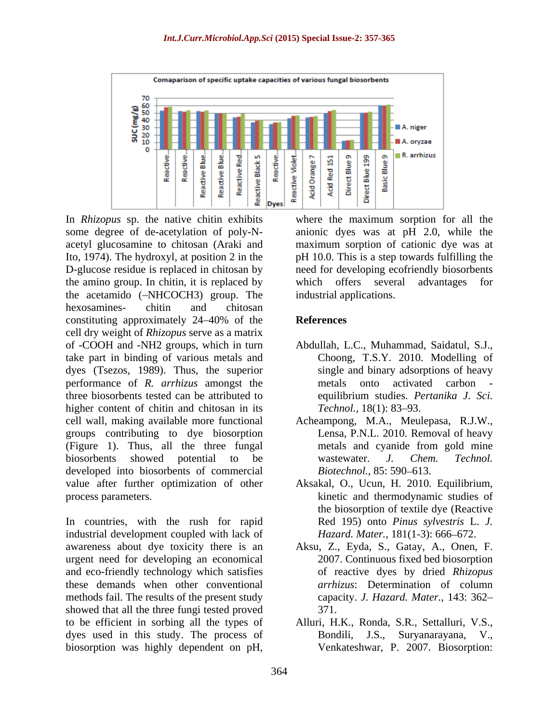

In *Rhizopus* sp. the native chitin exhibits where the maximum sorption for all the some degree of de-acetylation of poly-N- anionic dyes was at pH 2.0, while the acetyl glucosamine to chitosan (Araki and maximum sorption of cationic dye was at Ito, 1974). The hydroxyl, at position 2 in the pH 10.0. This is a step towards fulfilling the D-glucose residue is replaced in chitosan by need for developing ecofriendly biosorbents the amino group. In chitin, it is replaced by which offers several advantages for the acetamido (-NHCOCH3) group. The hexosamines- chitin and chitosan constituting approximately 24–40% of the **References** cell dry weight of *Rhizopus* serve as a matrix of -COOH and -NH2 groups, which in turn take part in binding of various metals and dyes (Tsezos, 1989). Thus, the superior performance of *R. arrhizus* amongst the three biosorbents tested can be attributed to equilibrium studies. Pertanika J. Sci. higher content of chitin and chitosan in its Technol., 18(1): 83–93. cell wall, making available more functional Acheampong, M.A., Meulepasa, R.J.W., groups contributing to dye biosorption (Figure 1). Thus, all the three fungal biosorbents showed potential to be wastewater. J. Chem. Technol. developed into biosorbents of commercial *Biotechnol.*, 85: 590–613. value after further optimization of other Aksakal, O., Ucun, H. 2010. Equilibrium, process parameters. kinetic and thermodynamic studies of In Rhizones sp. the native chimin exhibits where the maximum sorption for all the maximum sorption of particular ance, and the maximum sorption of particular expansion (Antiox and maximum sorption of caloric cly was a the

In countries, with the rush for rapid industrial development coupled with lack of awareness about dye toxicity there is an Aksu, Z., Eyda, S., Gatay, A., Onen, F. urgent need for developing an economical and eco-friendly technology which satisfies these demands when other conventional methods fail. The results of the present study showed that all the three fungi tested proved 371. to be efficient in sorbing all the types of Alluri, H.K., Ronda, S.R., Settalluri, V.S., dyes used in this study. The process of Bondili, J.S., Suryanarayana, V.,

which offers several advantages for industrial applications.

### **References**

- Abdullah, L.C., Muhammad, Saidatul, S.J., Choong, T.S.Y. 2010. Modelling of single and binary adsorptions of heavy metals onto activated carbon equilibrium studies. *Pertanika J. Sci. Technol.,* 18(1): 83–93.
- Lensa, P.N.L. 2010. Removal of heavy metals and cyanide from gold mine wastewater. *J. Chem. Technol. Biotechnol.,* 85: 590–613.
- the biosorption of textile dye (Reactive Red 195) onto *Pinus sylvestris* L. *J. Hazard. Mater.,* 181(1-3): 666–672.
- 2007. Continuous fixed bed biosorption of reactive dyes by dried *Rhizopus arrhizus*: Determination of column capacity. *J. Hazard. Mater.,* 143: 362 371.
- Venkateshwar, P. 2007. Biosorption: